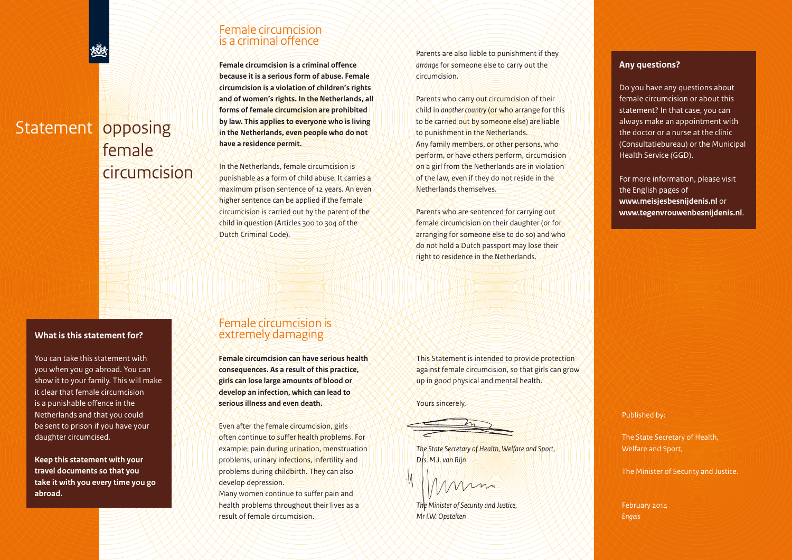# Statement opposing female circumcision

#### **What is this statement for?**

You can take this statement with you when you go abroad. You can show it to your family. This will make it clear that female circumcision is a punishable offence in the Netherlands and that you could be sent to prison if you have your daughter circumcised.

**Keep this statement with your travel documents so that you take it with you every time you go abroad.**

## Female circumcision is a criminal offence

**Female circumcision is a criminal offence because it is a serious form of abuse. Female circumcision is a violation of children's rights and of women's rights. In the Netherlands, all forms of female circumcision are prohibited by law. This applies to everyone who is living in the Netherlands, even people who do not have a residence permit.**

In the Netherlands, female circumcision is punishable as a form of child abuse. It carries a maximum prison sentence of 12 years. An even higher sentence can be applied if the female circumcision is carried out by the parent of the child in question (Articles 300 to 304 of the Dutch Criminal Code).

Female circumcision is extremely damaging

**Female circumcision can have serious health consequences. As a result of this practice, girls can lose large amounts of blood or develop an infection, which can lead to serious illness and even death.**

Even after the female circumcision, girls often continue to suffer health problems. For example: pain during urination, menstruation problems, urinary infections, infertility and problems during childbirth. They can also

Many women continue to suffer pain and health problems throughout their lives as a

develop depression.

result of female circumcision.

Parents are also liable to punishment if they *arrange* for someone else to carry out the circumcision.

Parents who carry out circumcision of their child in *another country* (or who arrange for this to be carried out by someone else) are liable to punishment in the Netherlands. Any family members, or other persons, who perform, or have others perform, circumcision on a girl from the Netherlands are in violation of the law, even if they do not reside in the Netherlands themselves.

Parents who are sentenced for carrying out female circumcision on their daughter (or for arranging for someone else to do so) and who do not hold a Dutch passport may lose their right to residence in the Netherlands.

This Statement is intended to provide protection against female circumcision, so that girls can grow up in good physical and mental health.

Yours sincerely,

*The State Secretary of Health, Welfare and Sport, Drs. M.J. van Rijn*

mm

*The Minister of Security and Justice, Mr I.W. Opstelten*

### **Any questions?**

Do you have any questions about female circumcision or about this statement? In that case, you can always make an appointment with the doctor or a nurse at the clinic (Consultatiebureau) or the Municipal Health Service (GGD).

For more information, please visit the English pages of **www.meisjesbesnijdenis.nl** or **www.tegenvrouwenbesnijdenis.nl**.

Published by:

The State Secretary of Health, Welfare and Sport,

The Minister of Security and Justice.

February 2014 *Engels*